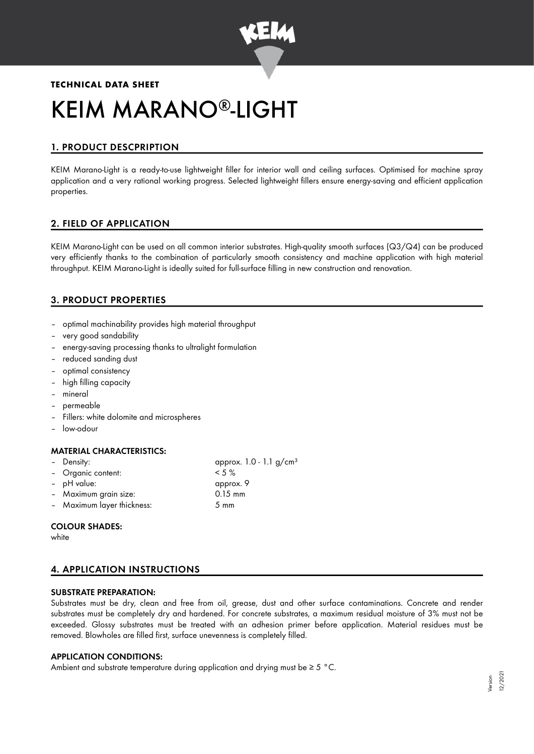

## **TECHNICAL DATA SHEET**

# KEIM MARANO®-LIGHT

# 1. PRODUCT DESCPRIPTION

KEIM Marano-Light is a ready-to-use lightweight filler for interior wall and ceiling surfaces. Optimised for machine spray application and a very rational working progress. Selected lightweight fillers ensure energy-saving and efficient application properties.

## 2. FIELD OF APPLICATION

KEIM Marano-Light can be used on all common interior substrates. High-quality smooth surfaces (Q3/Q4) can be produced very efficiently thanks to the combination of particularly smooth consistency and machine application with high material throughput. KEIM Marano-Light is ideally suited for full-surface filling in new construction and renovation.

# 3. PRODUCT PROPERTIES

- optimal machinability provides high material throughput
- very good sandability
- energy-saving processing thanks to ultralight formulation
- reduced sanding dust
- optimal consistency
- high filling capacity
- mineral
- permeable
- Fillers: white dolomite and microspheres
- low-odour

#### MATERIAL CHARACTERISTICS:

| - Density:                 | approx. 1.0 - 1.1 $g/cm^{3}$ |
|----------------------------|------------------------------|
| - Organic content:         | $< 5 \%$                     |
| - pH value:                | approx. 9                    |
| - Maximum grain size:      | $0.15$ mm                    |
| - Maximum layer thickness: | $5 \text{ mm}$               |
|                            |                              |

#### COLOUR SHADES:

white

# 4. APPLICATION INSTRUCTIONS

#### SUBSTRATE PREPARATION:

Substrates must be dry, clean and free from oil, grease, dust and other surface contaminations. Concrete and render substrates must be completely dry and hardened. For concrete substrates, a maximum residual moisture of 3% must not be exceeded. Glossy substrates must be treated with an adhesion primer before application. Material residues must be removed. Blowholes are filled first, surface unevenness is completely filled.

#### APPLICATION CONDITIONS:

Ambient and substrate temperature during application and drying must be ≥ 5 °C.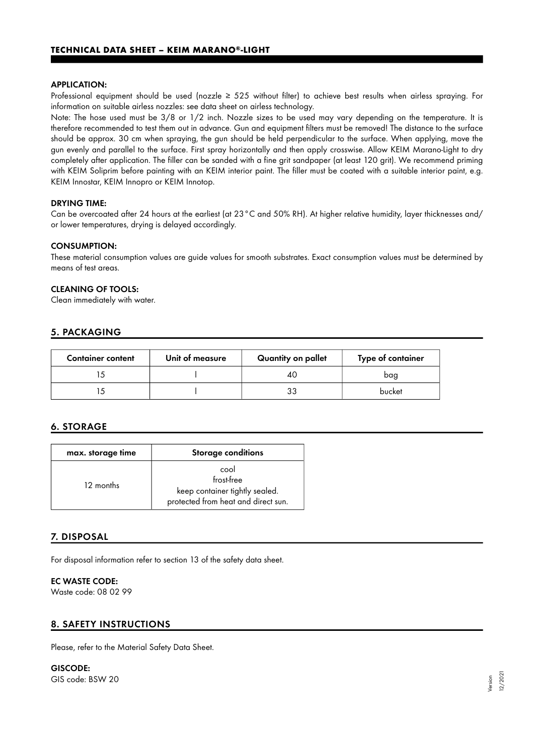#### APPLICATION:

Professional equipment should be used (nozzle ≥ 525 without filter) to achieve best results when airless spraying. For information on suitable airless nozzles: see data sheet on airless technology.

Note: The hose used must be 3/8 or 1/2 inch. Nozzle sizes to be used may vary depending on the temperature. It is therefore recommended to test them out in advance. Gun and equipment filters must be removed! The distance to the surface should be approx. 30 cm when spraying, the gun should be held perpendicular to the surface. When applying, move the gun evenly and parallel to the surface. First spray horizontally and then apply crosswise. Allow KEIM Marano-Light to dry completely after application. The filler can be sanded with a fine grit sandpaper (at least 120 grit). We recommend priming with KEIM Soliprim before painting with an KEIM interior paint. The filler must be coated with a suitable interior paint, e.g. KEIM Innostar, KEIM Innopro or KEIM Innotop.

#### DRYING TIME:

Can be overcoated after 24 hours at the earliest (at 23°C and 50% RH). At higher relative humidity, layer thicknesses and/ or lower temperatures, drying is delayed accordingly.

#### CONSUMPTION:

These material consumption values are guide values for smooth substrates. Exact consumption values must be determined by means of test areas.

#### CLEANING OF TOOLS:

Clean immediately with water.

## 5. PACKAGING

| <b>Container content</b> | Unit of measure | Quantity on pallet | Type of container |
|--------------------------|-----------------|--------------------|-------------------|
|                          |                 | 4C                 | baa               |
|                          |                 | 33                 | bucket            |

## 6. STORAGE

| max. storage time | <b>Storage conditions</b>                                                                   |
|-------------------|---------------------------------------------------------------------------------------------|
| 12 months         | cool<br>frost-free<br>keep container tightly sealed.<br>protected from heat and direct sun. |

## 7. DISPOSAL

For disposal information refer to section 13 of the safety data sheet.

#### EC WASTE CODE:

Waste code: 08 02 99

## 8. SAFETY INSTRUCTIONS

Please, refer to the Material Safety Data Sheet.

GISCODE: GIS code: BSW 20